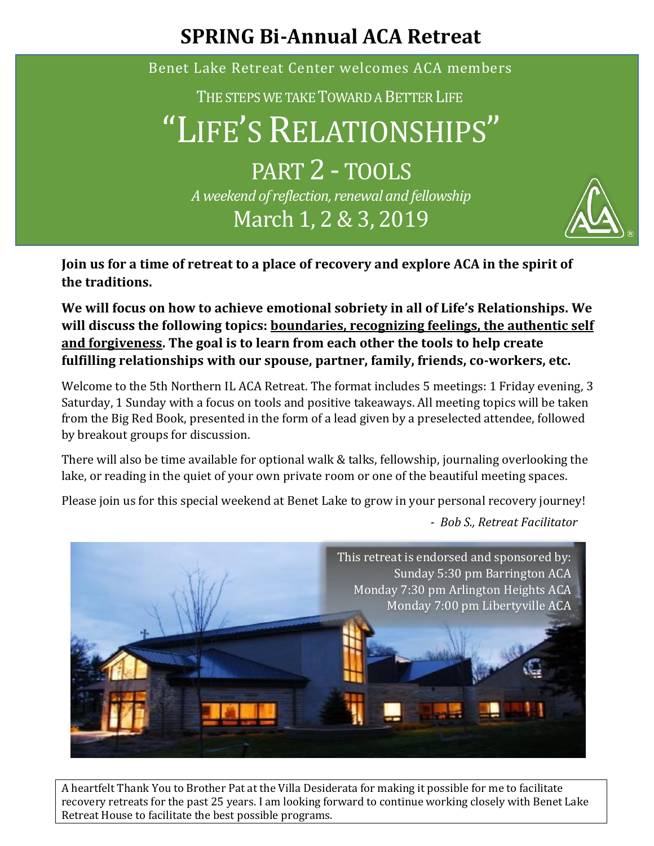## **SPRING Bi-Annual ACA Retreat**

Benet Lake Retreat Center welcomes ACA members

THE STEPS WE TAKE TOWARD A BETTER LIFE

"LIFE'S RELATIONSHIPS"

PART 2 - TOOLS *A weekend of reflection, renewal and fellowship* March 1, 2 & 3, 2019



**Join us for a time of retreat to a place of recovery and explore ACA in the spirit of the traditions.** 

**We will focus on how to achieve emotional sobriety in all of Life's Relationships. We will discuss the following topics: boundaries, recognizing feelings, the authentic self and forgiveness. The goal is to learn from each other the tools to help create fulfilling relationships with our spouse, partner, family, friends, co-workers, etc.**

Welcome to the 5th Northern IL ACA Retreat. The format includes 5 meetings: 1 Friday evening, 3 Saturday, 1 Sunday with a focus on tools and positive takeaways. All meeting topics will be taken from the Big Red Book, presented in the form of a lead given by a preselected attendee, followed by breakout groups for discussion.

There will also be time available for optional walk & talks, fellowship, journaling overlooking the lake, or reading in the quiet of your own private room or one of the beautiful meeting spaces.

Please join us for this special weekend at Benet Lake to grow in your personal recovery journey!

*- Bob S., Retreat Facilitator*



A heartfelt Thank You to Brother Pat at the Villa Desiderata for making it possible for me to facilitate recovery retreats for the past 25 years. I am looking forward to continue working closely with Benet Lake Retreat House to facilitate the best possible programs.